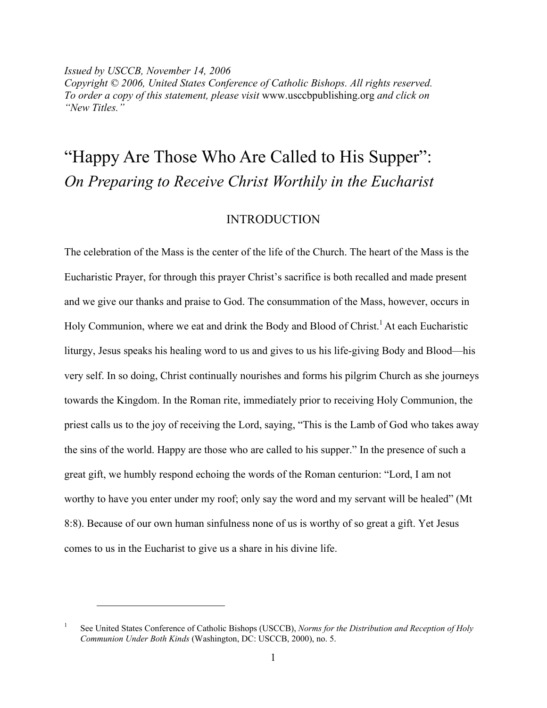*Issued by USCCB, November 14, 2006 Copyright © 2006, United States Conference of Catholic Bishops. All rights reserved. To order a copy of this statement, please visit* www.usccbpublishing.org *and click on "New Titles."*

# "Happy Are Those Who Are Called to His Supper": *On Preparing to Receive Christ Worthily in the Eucharist*

# INTRODUCTION

The celebration of the Mass is the center of the life of the Church. The heart of the Mass is the Eucharistic Prayer, for through this prayer Christ's sacrifice is both recalled and made present and we give our thanks and praise to God. The consummation of the Mass, however, occurs in Holy Communion, where we eat and drink the Body and Blood of Christ.<sup>1</sup> At each Eucharistic liturgy, Jesus speaks his healing word to us and gives to us his life-giving Body and Blood—his very self. In so doing, Christ continually nourishes and forms his pilgrim Church as she journeys towards the Kingdom. In the Roman rite, immediately prior to receiving Holy Communion, the priest calls us to the joy of receiving the Lord, saying, "This is the Lamb of God who takes away the sins of the world. Happy are those who are called to his supper." In the presence of such a great gift, we humbly respond echoing the words of the Roman centurion: "Lord, I am not worthy to have you enter under my roof; only say the word and my servant will be healed" (Mt 8:8). Because of our own human sinfulness none of us is worthy of so great a gift. Yet Jesus comes to us in the Eucharist to give us a share in his divine life.

<sup>1</sup> See United States Conference of Catholic Bishops (USCCB), *Norms for the Distribution and Reception of Holy Communion Under Both Kinds* (Washington, DC: USCCB, 2000), no. 5.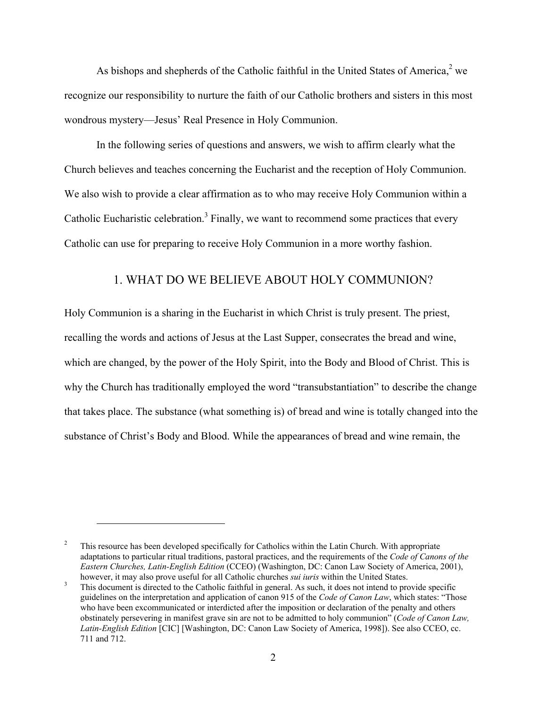As bishops and shepherds of the Catholic faithful in the United States of America, $2$  we recognize our responsibility to nurture the faith of our Catholic brothers and sisters in this most wondrous mystery—Jesus' Real Presence in Holy Communion.

In the following series of questions and answers, we wish to affirm clearly what the Church believes and teaches concerning the Eucharist and the reception of Holy Communion. We also wish to provide a clear affirmation as to who may receive Holy Communion within a Catholic Eucharistic celebration.<sup>3</sup> Finally, we want to recommend some practices that every Catholic can use for preparing to receive Holy Communion in a more worthy fashion.

## 1. WHAT DO WE BELIEVE ABOUT HOLY COMMUNION?

Holy Communion is a sharing in the Eucharist in which Christ is truly present. The priest, recalling the words and actions of Jesus at the Last Supper, consecrates the bread and wine, which are changed, by the power of the Holy Spirit, into the Body and Blood of Christ. This is why the Church has traditionally employed the word "transubstantiation" to describe the change that takes place. The substance (what something is) of bread and wine is totally changed into the substance of Christ's Body and Blood. While the appearances of bread and wine remain, the

<sup>&</sup>lt;sup>2</sup> This resource has been developed specifically for Catholics within the Latin Church. With appropriate adaptations to particular ritual traditions, pastoral practices, and the requirements of the *Code of Canons of the Eastern Churches, Latin-English Edition* (CCEO) (Washington, DC: Canon Law Society of America, 2001), however, it may also prove useful for all Catholic churches *sui iuris* within the United States.

This document is directed to the Catholic faithful in general. As such, it does not intend to provide specific guidelines on the interpretation and application of canon 915 of the *Code of Canon Law*, which states: "Those who have been excommunicated or interdicted after the imposition or declaration of the penalty and others obstinately persevering in manifest grave sin are not to be admitted to holy communion" (*Code of Canon Law, Latin-English Edition* [CIC] [Washington, DC: Canon Law Society of America, 1998]). See also CCEO, cc. 711 and 712.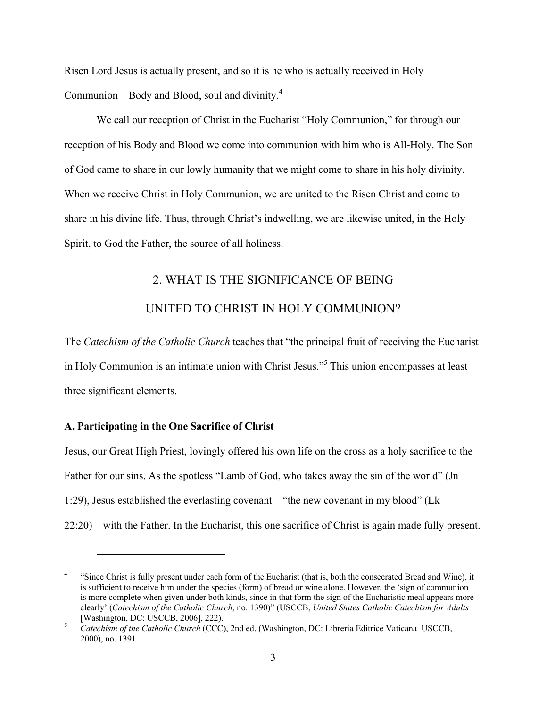Risen Lord Jesus is actually present, and so it is he who is actually received in Holy Communion—Body and Blood, soul and divinity.<sup>4</sup>

We call our reception of Christ in the Eucharist "Holy Communion," for through our reception of his Body and Blood we come into communion with him who is All-Holy. The Son of God came to share in our lowly humanity that we might come to share in his holy divinity. When we receive Christ in Holy Communion, we are united to the Risen Christ and come to share in his divine life. Thus, through Christ's indwelling, we are likewise united, in the Holy Spirit, to God the Father, the source of all holiness.

# 2. WHAT IS THE SIGNIFICANCE OF BEING UNITED TO CHRIST IN HOLY COMMUNION?

The *Catechism of the Catholic Church* teaches that "the principal fruit of receiving the Eucharist in Holy Communion is an intimate union with Christ Jesus."<sup>5</sup> This union encompasses at least three significant elements.

### A. Participating in the One Sacrifice of Christ

 $\overline{a}$ 

Jesus, our Great High Priest, lovingly offered his own life on the cross as a holy sacrifice to the Father for our sins. As the spotless "Lamb of God, who takes away the sin of the world" (Jn 1:29), Jesus established the everlasting covenant—"the new covenant in my blood" (Lk 22:20)—with the Father. In the Eucharist, this one sacrifice of Christ is again made fully present.

<sup>&</sup>lt;sup>4</sup> "Since Christ is fully present under each form of the Eucharist (that is, both the consecrated Bread and Wine), it is sufficient to receive him under the species (form) of bread or wine alone. However, the 'sign of communion is more complete when given under both kinds, since in that form the sign of the Eucharistic meal appears more clearly' (*Catechism of the Catholic Church*, no. 1390)" (USCCB, *United States Catholic Catechism for Adults* [Washington, DC: USCCB, 2006], 222). <sup>5</sup> *Catechism of the Catholic Church* (CCC), 2nd ed. (Washington, DC: Libreria Editrice Vaticana–USCCB,

<sup>2000),</sup> no. 1391.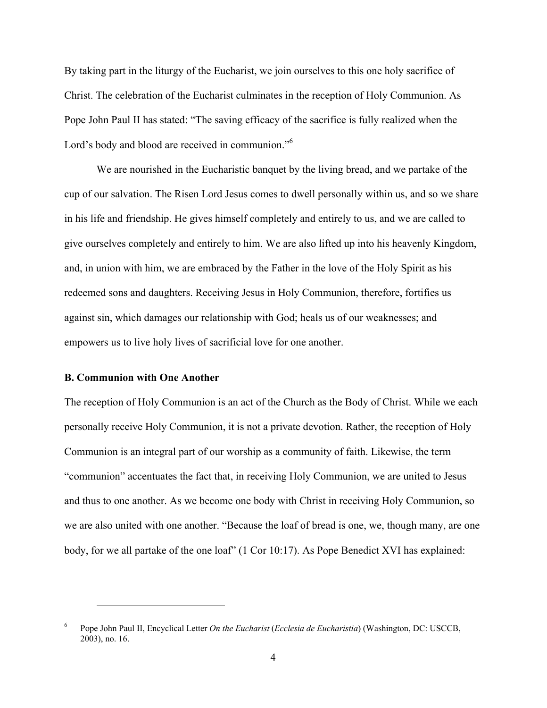By taking part in the liturgy of the Eucharist, we join ourselves to this one holy sacrifice of Christ. The celebration of the Eucharist culminates in the reception of Holy Communion. As Pope John Paul II has stated: "The saving efficacy of the sacrifice is fully realized when the Lord's body and blood are received in communion."<sup>6</sup>

We are nourished in the Eucharistic banquet by the living bread, and we partake of the cup of our salvation. The Risen Lord Jesus comes to dwell personally within us, and so we share in his life and friendship. He gives himself completely and entirely to us, and we are called to give ourselves completely and entirely to him. We are also lifted up into his heavenly Kingdom, and, in union with him, we are embraced by the Father in the love of the Holy Spirit as his redeemed sons and daughters. Receiving Jesus in Holy Communion, therefore, fortifies us against sin, which damages our relationship with God; heals us of our weaknesses; and empowers us to live holy lives of sacrificial love for one another.

#### B. Communion with One Another

 $\overline{a}$ 

The reception of Holy Communion is an act of the Church as the Body of Christ. While we each personally receive Holy Communion, it is not a private devotion. Rather, the reception of Holy Communion is an integral part of our worship as a community of faith. Likewise, the term "communion" accentuates the fact that, in receiving Holy Communion, we are united to Jesus and thus to one another. As we become one body with Christ in receiving Holy Communion, so we are also united with one another. "Because the loaf of bread is one, we, though many, are one body, for we all partake of the one loaf" (1 Cor 10:17). As Pope Benedict XVI has explained:

<sup>6</sup> Pope John Paul II, Encyclical Letter *On the Eucharist* (*Ecclesia de Eucharistia*) (Washington, DC: USCCB, 2003), no. 16.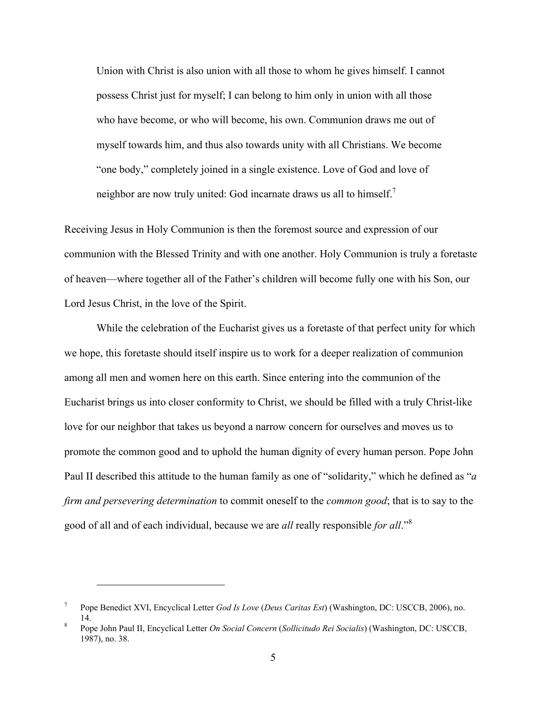Union with Christ is also union with all those to whom he gives himself. I cannot possess Christ just for myself; I can belong to him only in union with all those who have become, or who will become, his own. Communion draws me out of myself towards him, and thus also towards unity with all Christians. We become "one body," completely joined in a single existence. Love of God and love of neighbor are now truly united: God incarnate draws us all to himself.<sup>7</sup>

Receiving Jesus in Holy Communion is then the foremost source and expression of our communion with the Blessed Trinity and with one another. Holy Communion is truly a foretaste of heaven—where together all of the Father's children will become fully one with his Son, our Lord Jesus Christ, in the love of the Spirit.

While the celebration of the Eucharist gives us a foretaste of that perfect unity for which we hope, this foretaste should itself inspire us to work for a deeper realization of communion among all men and women here on this earth. Since entering into the communion of the Eucharist brings us into closer conformity to Christ, we should be filled with a truly Christ-like love for our neighbor that takes us beyond a narrow concern for ourselves and moves us to promote the common good and to uphold the human dignity of every human person. Pope John Paul II described this attitude to the human family as one of "solidarity," which he defined as "*a firm and persevering determination* to commit oneself to the *common good*; that is to say to the good of all and of each individual, because we are *all* really responsible *for all*."<sup>8</sup>

<sup>7</sup> Pope Benedict XVI, Encyclical Letter *God Is Love* (*Deus Caritas Est*) (Washington, DC: USCCB, 2006), no. 14. <sup>8</sup> Pope John Paul II, Encyclical Letter *On Social Concern* (*Sollicitudo Rei Socialis*) (Washington, DC: USCCB,

<sup>1987),</sup> no. 38.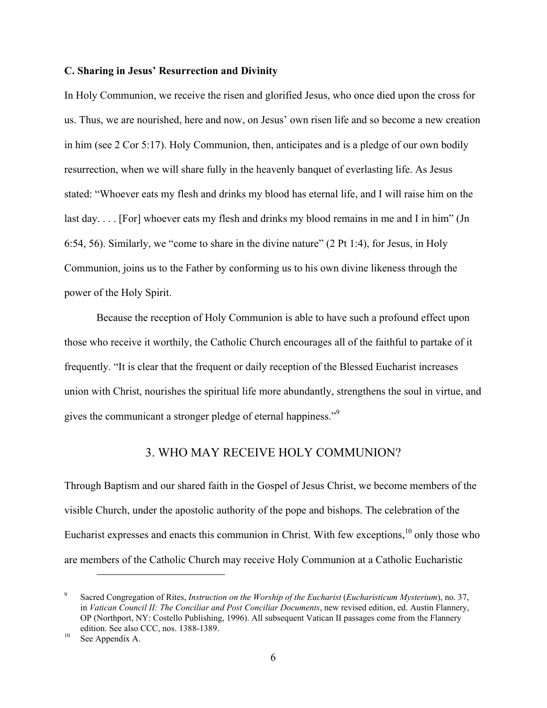#### C. Sharing in Jesus' Resurrection and Divinity

In Holy Communion, we receive the risen and glorified Jesus, who once died upon the cross for us. Thus, we are nourished, here and now, on Jesus' own risen life and so become a new creation in him (see 2 Cor 5:17). Holy Communion, then, anticipates and is a pledge of our own bodily resurrection, when we will share fully in the heavenly banquet of everlasting life. As Jesus stated: "Whoever eats my flesh and drinks my blood has eternal life, and I will raise him on the last day.... [For] whoever eats my flesh and drinks my blood remains in me and I in him" (Jn 6:54, 56). Similarly, we "come to share in the divine nature" (2 Pt 1:4), for Jesus, in Holy Communion, joins us to the Father by conforming us to his own divine likeness through the power of the Holy Spirit.

Because the reception of Holy Communion is able to have such a profound effect upon those who receive it worthily, the Catholic Church encourages all of the faithful to partake of it frequently. "It is clear that the frequent or daily reception of the Blessed Eucharist increases union with Christ, nourishes the spiritual life more abundantly, strengthens the soul in virtue, and gives the communicant a stronger pledge of eternal happiness."<sup>9</sup>

### 3. WHO MAY RECEIVE HOLY COMMUNION?

Through Baptism and our shared faith in the Gospel of Jesus Christ, we become members of the visible Church, under the apostolic authority of the pope and bishops. The celebration of the Eucharist expresses and enacts this communion in Christ. With few exceptions,  $10$  only those who are members of the Catholic Church may receive Holy Communion at a Catholic Eucharistic

<sup>9</sup> Sacred Congregation of Rites, *Instruction on the Worship of the Eucharist* (*Eucharisticum Mysterium*), no. 37, in *Vatican Council II: The Conciliar and Post Conciliar Documents*, new revised edition, ed. Austin Flannery, OP (Northport, NY: Costello Publishing, 1996). All subsequent Vatican II passages come from the Flannery edition. See also CCC, nos. 1388-1389.<br><sup>10</sup> See Appendix A.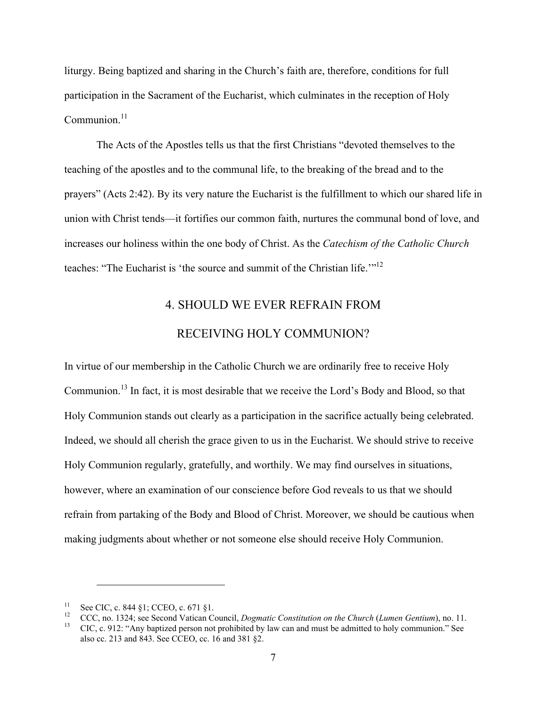liturgy. Being baptized and sharing in the Church's faith are, therefore, conditions for full participation in the Sacrament of the Eucharist, which culminates in the reception of Holy Communion. $11$ 

The Acts of the Apostles tells us that the first Christians "devoted themselves to the teaching of the apostles and to the communal life, to the breaking of the bread and to the prayers" (Acts 2:42). By its very nature the Eucharist is the fulfillment to which our shared life in union with Christ tends—it fortifies our common faith, nurtures the communal bond of love, and increases our holiness within the one body of Christ. As the *Catechism of the Catholic Church* teaches: "The Eucharist is 'the source and summit of the Christian life.'"12

# 4. SHOULD WE EVER REFRAIN FROM RECEIVING HOLY COMMUNION?

In virtue of our membership in the Catholic Church we are ordinarily free to receive Holy Communion.<sup>13</sup> In fact, it is most desirable that we receive the Lord's Body and Blood, so that Holy Communion stands out clearly as a participation in the sacrifice actually being celebrated. Indeed, we should all cherish the grace given to us in the Eucharist. We should strive to receive Holy Communion regularly, gratefully, and worthily. We may find ourselves in situations, however, where an examination of our conscience before God reveals to us that we should refrain from partaking of the Body and Blood of Christ. Moreover, we should be cautious when making judgments about whether or not someone else should receive Holy Communion.

<sup>&</sup>lt;sup>11</sup> See CIC, c. 844 §1; CCEO, c. 671 §1.<br><sup>12</sup> CCC, no. 1324; see Second Vatican Council, *Dogmatic Constitution on the Church* (*Lumen Gentium*), no. 11.<br><sup>13</sup> CIC, c. 912: "Any baptized person not prohibited by law can a

also cc. 213 and 843. See CCEO, cc. 16 and 381 §2.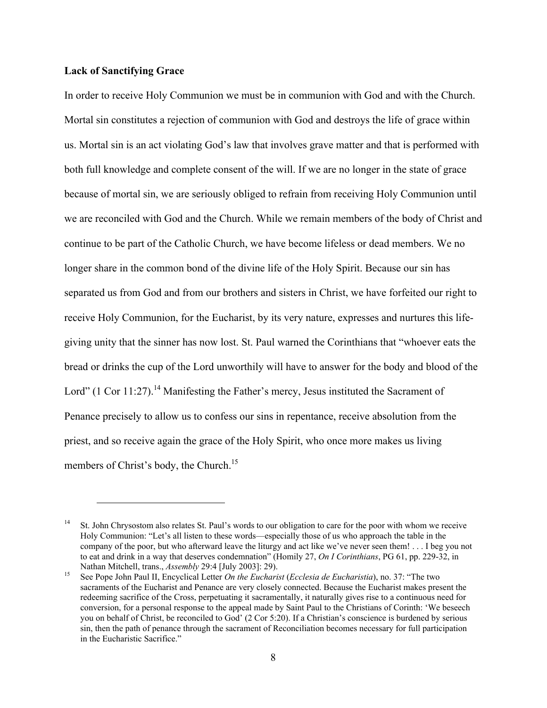#### Lack of Sanctifying Grace

 $\overline{a}$ 

In order to receive Holy Communion we must be in communion with God and with the Church. Mortal sin constitutes a rejection of communion with God and destroys the life of grace within us. Mortal sin is an act violating God's law that involves grave matter and that is performed with both full knowledge and complete consent of the will. If we are no longer in the state of grace because of mortal sin, we are seriously obliged to refrain from receiving Holy Communion until we are reconciled with God and the Church. While we remain members of the body of Christ and continue to be part of the Catholic Church, we have become lifeless or dead members. We no longer share in the common bond of the divine life of the Holy Spirit. Because our sin has separated us from God and from our brothers and sisters in Christ, we have forfeited our right to receive Holy Communion, for the Eucharist, by its very nature, expresses and nurtures this lifegiving unity that the sinner has now lost. St. Paul warned the Corinthians that "whoever eats the bread or drinks the cup of the Lord unworthily will have to answer for the body and blood of the Lord" (1 Cor 11:27).<sup>14</sup> Manifesting the Father's mercy, Jesus instituted the Sacrament of Penance precisely to allow us to confess our sins in repentance, receive absolution from the priest, and so receive again the grace of the Holy Spirit, who once more makes us living members of Christ's body, the Church.<sup>15</sup>

<sup>&</sup>lt;sup>14</sup> St. John Chrysostom also relates St. Paul's words to our obligation to care for the poor with whom we receive Holy Communion: "Let's all listen to these words—especially those of us who approach the table in the company of the poor, but who afterward leave the liturgy and act like we've never seen them! . . . I beg you not to eat and drink in a way that deserves condemnation" (Homily 27, *On I Corinthians*, PG 61, pp. 229-32, in Nathan Mitchell, trans., *Assembly* 29:4 [July 2003]: 29). <sup>15</sup> See Pope John Paul II, Encyclical Letter *On the Eucharist* (*Ecclesia de Eucharistia*), no. 37: "The two

sacraments of the Eucharist and Penance are very closely connected. Because the Eucharist makes present the redeeming sacrifice of the Cross, perpetuating it sacramentally, it naturally gives rise to a continuous need for conversion, for a personal response to the appeal made by Saint Paul to the Christians of Corinth: 'We beseech you on behalf of Christ, be reconciled to God' (2 Cor 5:20). If a Christian's conscience is burdened by serious sin, then the path of penance through the sacrament of Reconciliation becomes necessary for full participation in the Eucharistic Sacrifice."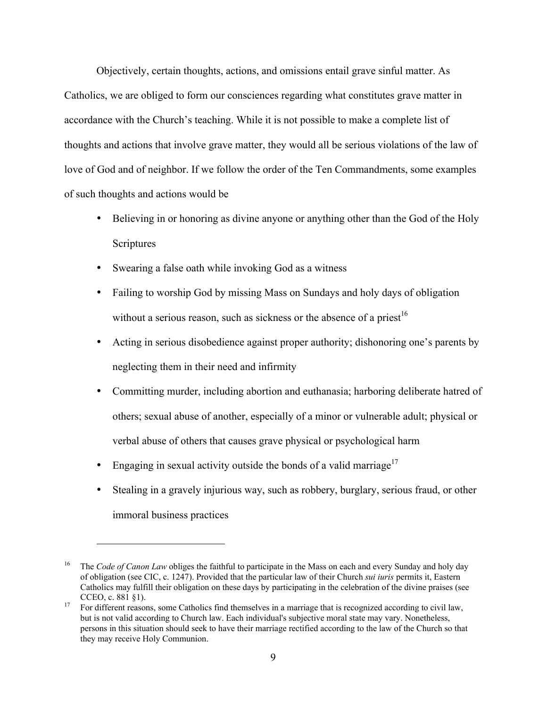Objectively, certain thoughts, actions, and omissions entail grave sinful matter. As Catholics, we are obliged to form our consciences regarding what constitutes grave matter in accordance with the Church's teaching. While it is not possible to make a complete list of thoughts and actions that involve grave matter, they would all be serious violations of the law of love of God and of neighbor. If we follow the order of the Ten Commandments, some examples of such thoughts and actions would be

- Believing in or honoring as divine anyone or anything other than the God of the Holy **Scriptures**
- Swearing a false oath while invoking God as a witness
- Failing to worship God by missing Mass on Sundays and holy days of obligation without a serious reason, such as sickness or the absence of a priest<sup>16</sup>
- Acting in serious disobedience against proper authority; dishonoring one's parents by neglecting them in their need and infirmity
- Committing murder, including abortion and euthanasia; harboring deliberate hatred of others; sexual abuse of another, especially of a minor or vulnerable adult; physical or verbal abuse of others that causes grave physical or psychological harm
- Engaging in sexual activity outside the bonds of a valid marriage<sup>17</sup>

 $\overline{a}$ 

Stealing in a gravely injurious way, such as robbery, burglary, serious fraud, or other immoral business practices

<sup>&</sup>lt;sup>16</sup> The *Code of Canon Law* obliges the faithful to participate in the Mass on each and every Sunday and holy day of obligation (see CIC, c. 1247). Provided that the particular law of their Church *sui iuris* permits it, Eastern Catholics may fulfill their obligation on these days by participating in the celebration of the divine praises (see CCEO, c. 881 §1).<br><sup>17</sup> For different reasons, some Catholics find themselves in a marriage that is recognized according to civil law,

but is not valid according to Church law. Each individual's subjective moral state may vary. Nonetheless, persons in this situation should seek to have their marriage rectified according to the law of the Church so that they may receive Holy Communion.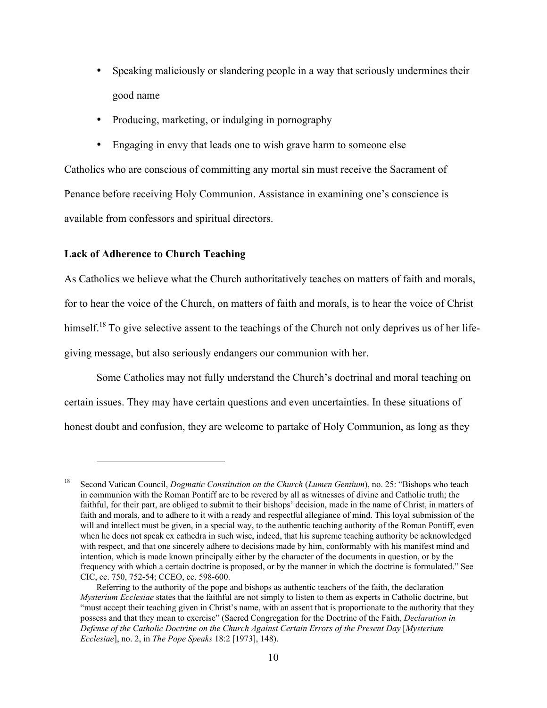- Speaking maliciously or slandering people in a way that seriously undermines their good name
- Producing, marketing, or indulging in pornography
- Engaging in envy that leads one to wish grave harm to someone else

Catholics who are conscious of committing any mortal sin must receive the Sacrament of Penance before receiving Holy Communion. Assistance in examining one's conscience is available from confessors and spiritual directors.

#### Lack of Adherence to Church Teaching

 $\overline{a}$ 

As Catholics we believe what the Church authoritatively teaches on matters of faith and morals, for to hear the voice of the Church, on matters of faith and morals, is to hear the voice of Christ himself.<sup>18</sup> To give selective assent to the teachings of the Church not only deprives us of her lifegiving message, but also seriously endangers our communion with her.

Some Catholics may not fully understand the Church's doctrinal and moral teaching on certain issues. They may have certain questions and even uncertainties. In these situations of honest doubt and confusion, they are welcome to partake of Holy Communion, as long as they

<sup>18</sup> Second Vatican Council, *Dogmatic Constitution on the Church* (*Lumen Gentium*), no. 25: "Bishops who teach in communion with the Roman Pontiff are to be revered by all as witnesses of divine and Catholic truth; the faithful, for their part, are obliged to submit to their bishops' decision, made in the name of Christ, in matters of faith and morals, and to adhere to it with a ready and respectful allegiance of mind. This loyal submission of the will and intellect must be given, in a special way, to the authentic teaching authority of the Roman Pontiff, even when he does not speak ex cathedra in such wise, indeed, that his supreme teaching authority be acknowledged with respect, and that one sincerely adhere to decisions made by him, conformably with his manifest mind and intention, which is made known principally either by the character of the documents in question, or by the frequency with which a certain doctrine is proposed, or by the manner in which the doctrine is formulated." See CIC, cc. 750, 752-54; CCEO, cc. 598-600.

Referring to the authority of the pope and bishops as authentic teachers of the faith, the declaration *Mysterium Ecclesiae* states that the faithful are not simply to listen to them as experts in Catholic doctrine, but "must accept their teaching given in Christ's name, with an assent that is proportionate to the authority that they possess and that they mean to exercise" (Sacred Congregation for the Doctrine of the Faith, *Declaration in Defense of the Catholic Doctrine on the Church Against Certain Errors of the Present Day* [*Mysterium Ecclesiae*], no. 2, in *The Pope Speaks* 18:2 [1973], 148).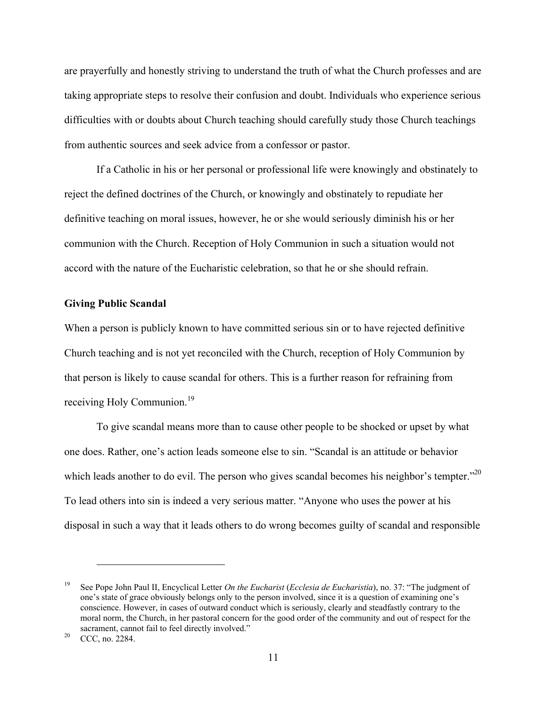are prayerfully and honestly striving to understand the truth of what the Church professes and are taking appropriate steps to resolve their confusion and doubt. Individuals who experience serious difficulties with or doubts about Church teaching should carefully study those Church teachings from authentic sources and seek advice from a confessor or pastor.

If a Catholic in his or her personal or professional life were knowingly and obstinately to reject the defined doctrines of the Church, or knowingly and obstinately to repudiate her definitive teaching on moral issues, however, he or she would seriously diminish his or her communion with the Church. Reception of Holy Communion in such a situation would not accord with the nature of the Eucharistic celebration, so that he or she should refrain.

#### Giving Public Scandal

When a person is publicly known to have committed serious sin or to have rejected definitive Church teaching and is not yet reconciled with the Church, reception of Holy Communion by that person is likely to cause scandal for others. This is a further reason for refraining from receiving Holy Communion.<sup>19</sup>

To give scandal means more than to cause other people to be shocked or upset by what one does. Rather, one's action leads someone else to sin. "Scandal is an attitude or behavior which leads another to do evil. The person who gives scandal becomes his neighbor's tempter."<sup>20</sup> To lead others into sin is indeed a very serious matter. "Anyone who uses the power at his disposal in such a way that it leads others to do wrong becomes guilty of scandal and responsible

<sup>19</sup> See Pope John Paul II, Encyclical Letter *On the Eucharist* (*Ecclesia de Eucharistia*), no. 37: "The judgment of one's state of grace obviously belongs only to the person involved, since it is a question of examining one's conscience. However, in cases of outward conduct which is seriously, clearly and steadfastly contrary to the moral norm, the Church, in her pastoral concern for the good order of the community and out of respect for the sacrament, cannot fail to feel directly involved."<br><sup>20</sup> CCC, no. 2284.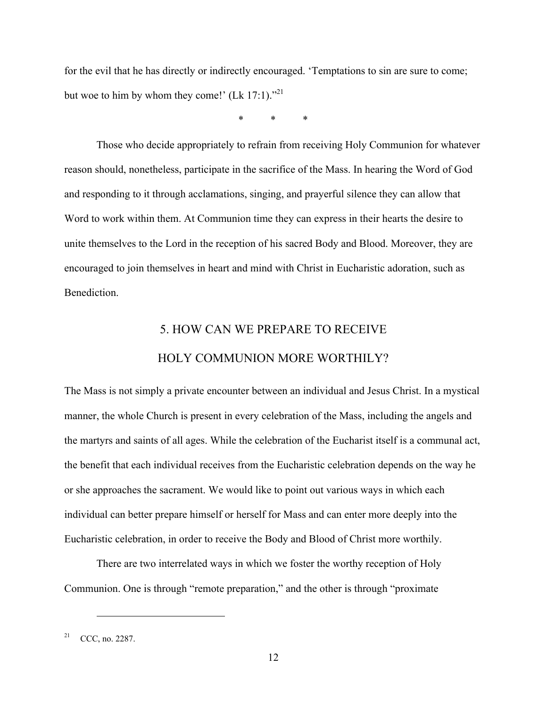for the evil that he has directly or indirectly encouraged. 'Temptations to sin are sure to come; but woe to him by whom they come!'  $(Lk 17:1)$ ."<sup>21</sup>

\* \* \*

Those who decide appropriately to refrain from receiving Holy Communion for whatever reason should, nonetheless, participate in the sacrifice of the Mass. In hearing the Word of God and responding to it through acclamations, singing, and prayerful silence they can allow that Word to work within them. At Communion time they can express in their hearts the desire to unite themselves to the Lord in the reception of his sacred Body and Blood. Moreover, they are encouraged to join themselves in heart and mind with Christ in Eucharistic adoration, such as **Benediction** 

# 5. HOW CAN WE PREPARE TO RECEIVE HOLY COMMUNION MORE WORTHILY?

The Mass is not simply a private encounter between an individual and Jesus Christ. In a mystical manner, the whole Church is present in every celebration of the Mass, including the angels and the martyrs and saints of all ages. While the celebration of the Eucharist itself is a communal act, the benefit that each individual receives from the Eucharistic celebration depends on the way he or she approaches the sacrament. We would like to point out various ways in which each individual can better prepare himself or herself for Mass and can enter more deeply into the Eucharistic celebration, in order to receive the Body and Blood of Christ more worthily.

There are two interrelated ways in which we foster the worthy reception of Holy Communion. One is through "remote preparation," and the other is through "proximate

 $21^{\circ}$  CCC, no. 2287.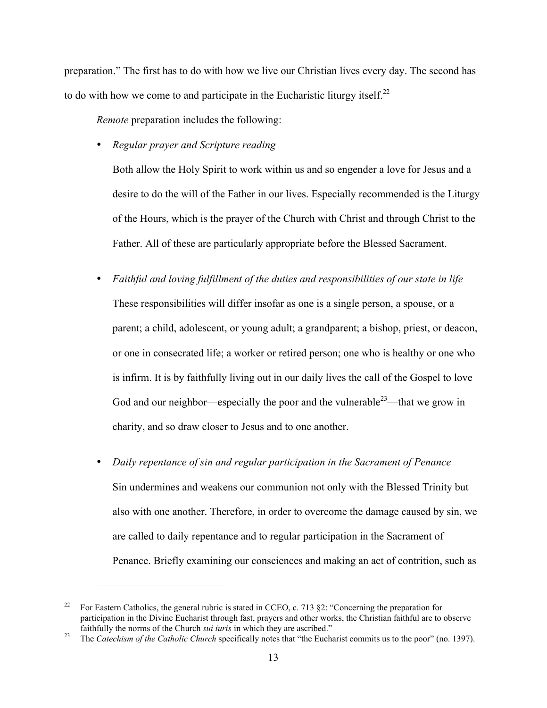preparation." The first has to do with how we live our Christian lives every day. The second has to do with how we come to and participate in the Eucharistic liturgy itself.<sup>22</sup>

*Remote* preparation includes the following:

• *Regular prayer and Scripture reading*

 $\overline{a}$ 

Both allow the Holy Spirit to work within us and so engender a love for Jesus and a desire to do the will of the Father in our lives. Especially recommended is the Liturgy of the Hours, which is the prayer of the Church with Christ and through Christ to the Father. All of these are particularly appropriate before the Blessed Sacrament.

- *Faithful and loving fulfillment of the duties and responsibilities of our state in life* These responsibilities will differ insofar as one is a single person, a spouse, or a parent; a child, adolescent, or young adult; a grandparent; a bishop, priest, or deacon, or one in consecrated life; a worker or retired person; one who is healthy or one who is infirm. It is by faithfully living out in our daily lives the call of the Gospel to love God and our neighbor—especially the poor and the vulnerable<sup>23</sup>—that we grow in charity, and so draw closer to Jesus and to one another.
- *Daily repentance of sin and regular participation in the Sacrament of Penance* Sin undermines and weakens our communion not only with the Blessed Trinity but also with one another. Therefore, in order to overcome the damage caused by sin, we are called to daily repentance and to regular participation in the Sacrament of Penance. Briefly examining our consciences and making an act of contrition, such as

<sup>&</sup>lt;sup>22</sup> For Eastern Catholics, the general rubric is stated in CCEO, c. 713 §2: "Concerning the preparation for participation in the Divine Eucharist through fast, prayers and other works, the Christian faithful are to observe faithfully the norms of the Church *sui iuris* in which they are ascribed."<br><sup>23</sup> The *Catechism of the Catholic Church* specifically notes that "the Eucharist commits us to the poor" (no. 1397).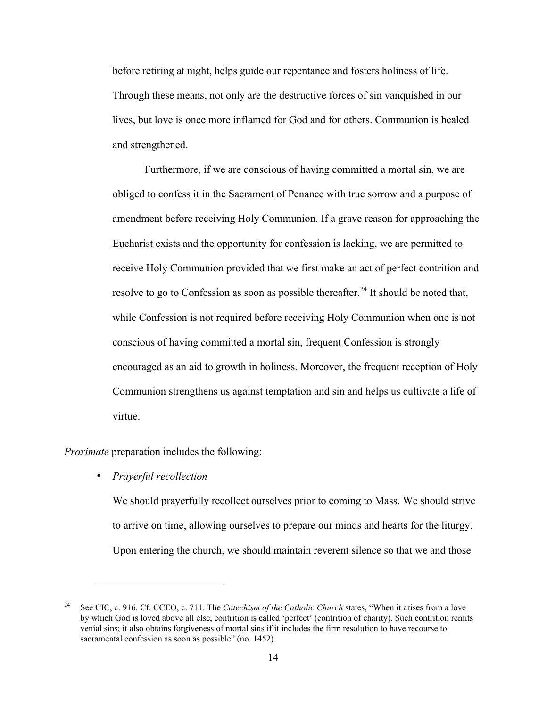before retiring at night, helps guide our repentance and fosters holiness of life. Through these means, not only are the destructive forces of sin vanquished in our lives, but love is once more inflamed for God and for others. Communion is healed and strengthened.

Furthermore, if we are conscious of having committed a mortal sin, we are obliged to confess it in the Sacrament of Penance with true sorrow and a purpose of amendment before receiving Holy Communion. If a grave reason for approaching the Eucharist exists and the opportunity for confession is lacking, we are permitted to receive Holy Communion provided that we first make an act of perfect contrition and resolve to go to Confession as soon as possible thereafter.<sup>24</sup> It should be noted that, while Confession is not required before receiving Holy Communion when one is not conscious of having committed a mortal sin, frequent Confession is strongly encouraged as an aid to growth in holiness. Moreover, the frequent reception of Holy Communion strengthens us against temptation and sin and helps us cultivate a life of virtue.

*Proximate* preparation includes the following:

• *Prayerful recollection*

 $\overline{a}$ 

We should prayerfully recollect ourselves prior to coming to Mass. We should strive to arrive on time, allowing ourselves to prepare our minds and hearts for the liturgy. Upon entering the church, we should maintain reverent silence so that we and those

<sup>24</sup> See CIC, c. 916. Cf. CCEO, c. 711. The *Catechism of the Catholic Church* states, "When it arises from a love by which God is loved above all else, contrition is called 'perfect' (contrition of charity). Such contrition remits venial sins; it also obtains forgiveness of mortal sins if it includes the firm resolution to have recourse to sacramental confession as soon as possible" (no. 1452).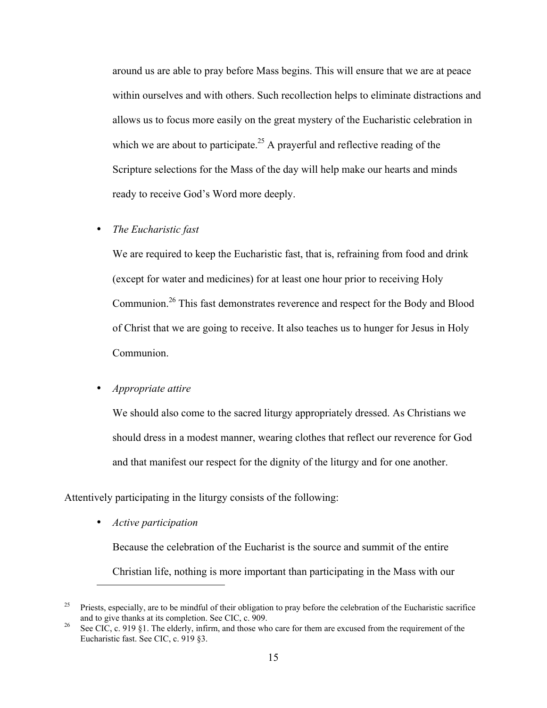around us are able to pray before Mass begins. This will ensure that we are at peace within ourselves and with others. Such recollection helps to eliminate distractions and allows us to focus more easily on the great mystery of the Eucharistic celebration in which we are about to participate.<sup>25</sup> A prayerful and reflective reading of the Scripture selections for the Mass of the day will help make our hearts and minds ready to receive God's Word more deeply.

#### • *The Eucharistic fast*

We are required to keep the Eucharistic fast, that is, refraining from food and drink (except for water and medicines) for at least one hour prior to receiving Holy Communion.<sup>26</sup> This fast demonstrates reverence and respect for the Body and Blood of Christ that we are going to receive. It also teaches us to hunger for Jesus in Holy Communion.

### • *Appropriate attire*

We should also come to the sacred liturgy appropriately dressed. As Christians we should dress in a modest manner, wearing clothes that reflect our reverence for God and that manifest our respect for the dignity of the liturgy and for one another.

Attentively participating in the liturgy consists of the following:

• *Active participation*

 $\overline{a}$ 

Because the celebration of the Eucharist is the source and summit of the entire Christian life, nothing is more important than participating in the Mass with our

 $25$  Priests, especially, are to be mindful of their obligation to pray before the celebration of the Eucharistic sacrifice and to give thanks at its completion. See CIC, c. 909.<br><sup>26</sup> See CIC, c. 919 §1. The elderly, infirm, and those who care for them are excused from the requirement of the

Eucharistic fast. See CIC, c. 919 §3.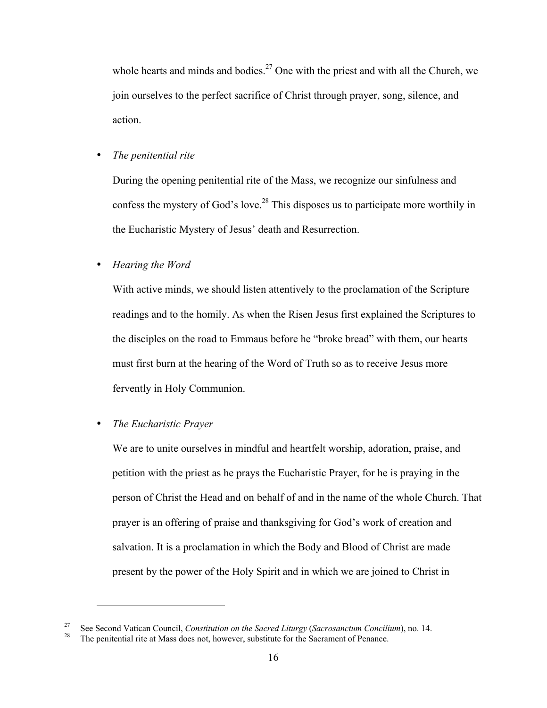whole hearts and minds and bodies.<sup>27</sup> One with the priest and with all the Church, we join ourselves to the perfect sacrifice of Christ through prayer, song, silence, and action.

## • *The penitential rite*

During the opening penitential rite of the Mass, we recognize our sinfulness and confess the mystery of God's love.<sup>28</sup> This disposes us to participate more worthily in the Eucharistic Mystery of Jesus' death and Resurrection.

## • *Hearing the Word*

With active minds, we should listen attentively to the proclamation of the Scripture readings and to the homily. As when the Risen Jesus first explained the Scriptures to the disciples on the road to Emmaus before he "broke bread" with them, our hearts must first burn at the hearing of the Word of Truth so as to receive Jesus more fervently in Holy Communion.

## • *The Eucharistic Prayer*

 $\overline{a}$ 

We are to unite ourselves in mindful and heartfelt worship, adoration, praise, and petition with the priest as he prays the Eucharistic Prayer, for he is praying in the person of Christ the Head and on behalf of and in the name of the whole Church. That prayer is an offering of praise and thanksgiving for God's work of creation and salvation. It is a proclamation in which the Body and Blood of Christ are made present by the power of the Holy Spirit and in which we are joined to Christ in

<sup>&</sup>lt;sup>27</sup> See Second Vatican Council, *Constitution on the Sacred Liturgy* (*Sacrosanctum Concilium*), no. 14.<br><sup>28</sup> The penitential rite at Mass does not, however, substitute for the Sacrament of Penance.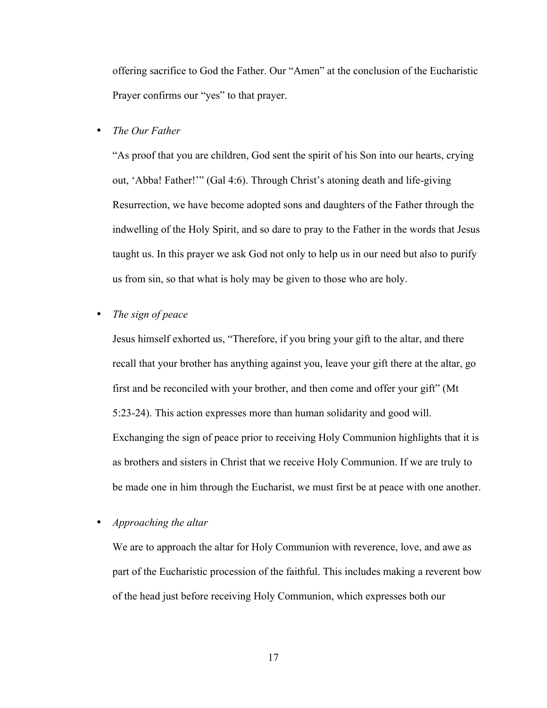offering sacrifice to God the Father. Our "Amen" at the conclusion of the Eucharistic Prayer confirms our "yes" to that prayer.

#### • *The Our Father*

"As proof that you are children, God sent the spirit of his Son into our hearts, crying out, 'Abba! Father!'" (Gal 4:6). Through Christ's atoning death and life-giving Resurrection, we have become adopted sons and daughters of the Father through the indwelling of the Holy Spirit, and so dare to pray to the Father in the words that Jesus taught us. In this prayer we ask God not only to help us in our need but also to purify us from sin, so that what is holy may be given to those who are holy.

### • *The sign of peace*

Jesus himself exhorted us, "Therefore, if you bring your gift to the altar, and there recall that your brother has anything against you, leave your gift there at the altar, go first and be reconciled with your brother, and then come and offer your gift" (Mt 5:23-24). This action expresses more than human solidarity and good will. Exchanging the sign of peace prior to receiving Holy Communion highlights that it is as brothers and sisters in Christ that we receive Holy Communion. If we are truly to be made one in him through the Eucharist, we must first be at peace with one another.

#### • *Approaching the altar*

We are to approach the altar for Holy Communion with reverence, love, and awe as part of the Eucharistic procession of the faithful. This includes making a reverent bow of the head just before receiving Holy Communion, which expresses both our

17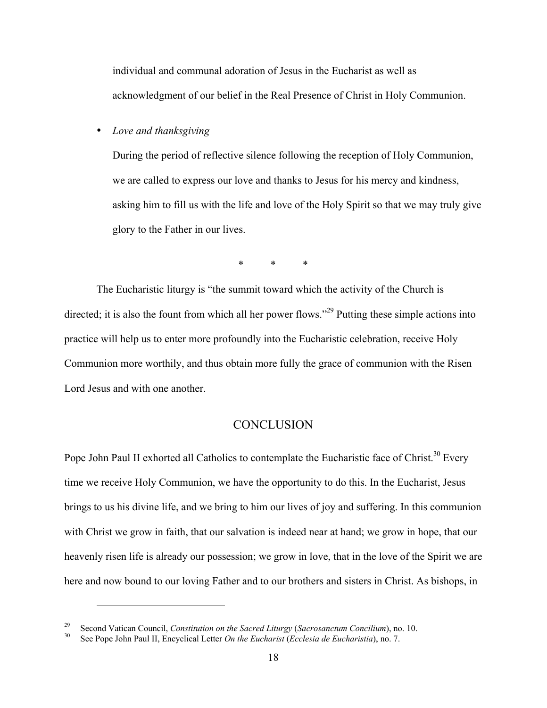individual and communal adoration of Jesus in the Eucharist as well as acknowledgment of our belief in the Real Presence of Christ in Holy Communion.

• *Love and thanksgiving*

During the period of reflective silence following the reception of Holy Communion, we are called to express our love and thanks to Jesus for his mercy and kindness, asking him to fill us with the life and love of the Holy Spirit so that we may truly give glory to the Father in our lives.

\* \* \*

The Eucharistic liturgy is "the summit toward which the activity of the Church is directed; it is also the fount from which all her power flows."<sup>29</sup> Putting these simple actions into practice will help us to enter more profoundly into the Eucharistic celebration, receive Holy Communion more worthily, and thus obtain more fully the grace of communion with the Risen Lord Jesus and with one another.

### **CONCLUSION**

Pope John Paul II exhorted all Catholics to contemplate the Eucharistic face of Christ.<sup>30</sup> Every time we receive Holy Communion, we have the opportunity to do this. In the Eucharist, Jesus brings to us his divine life, and we bring to him our lives of joy and suffering. In this communion with Christ we grow in faith, that our salvation is indeed near at hand; we grow in hope, that our heavenly risen life is already our possession; we grow in love, that in the love of the Spirit we are here and now bound to our loving Father and to our brothers and sisters in Christ. As bishops, in

<sup>29</sup> Second Vatican Council, *Constitution on the Sacred Liturgy* (*Sacrosanctum Concilium*), no. 10. <sup>30</sup> See Pope John Paul II, Encyclical Letter *On the Eucharist* (*Ecclesia de Eucharistia*), no. 7.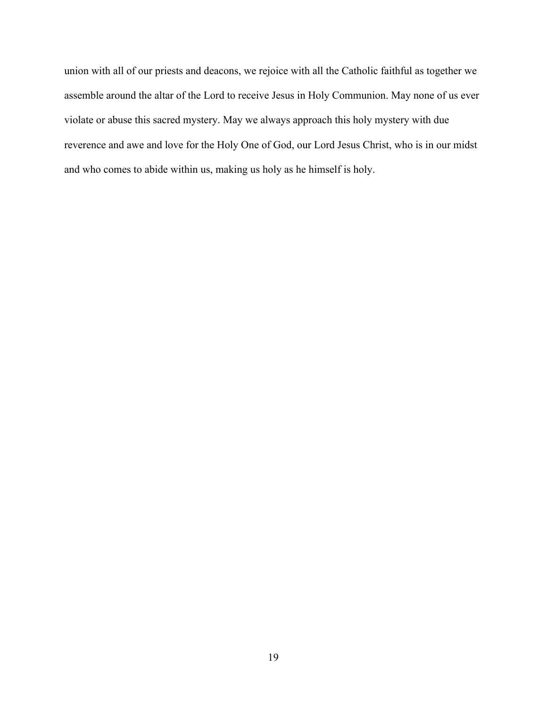union with all of our priests and deacons, we rejoice with all the Catholic faithful as together we assemble around the altar of the Lord to receive Jesus in Holy Communion. May none of us ever violate or abuse this sacred mystery. May we always approach this holy mystery with due reverence and awe and love for the Holy One of God, our Lord Jesus Christ, who is in our midst and who comes to abide within us, making us holy as he himself is holy.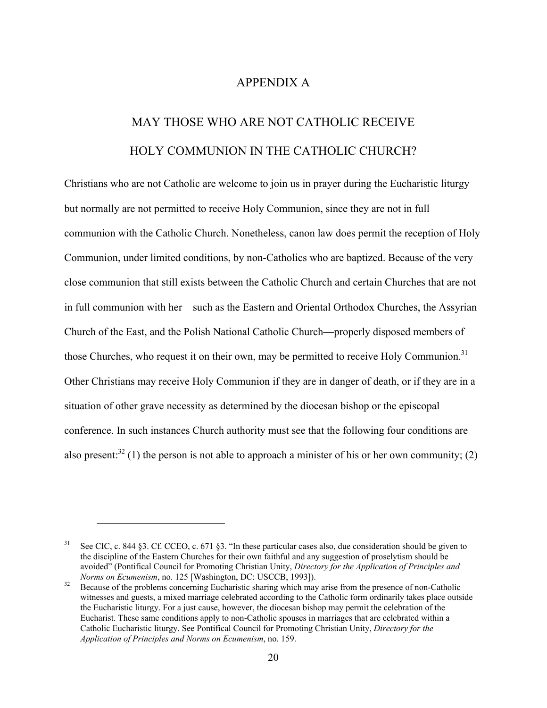# APPENDIX A

# MAY THOSE WHO ARE NOT CATHOLIC RECEIVE HOLY COMMUNION IN THE CATHOLIC CHURCH?

Christians who are not Catholic are welcome to join us in prayer during the Eucharistic liturgy but normally are not permitted to receive Holy Communion, since they are not in full communion with the Catholic Church. Nonetheless, canon law does permit the reception of Holy Communion, under limited conditions, by non-Catholics who are baptized. Because of the very close communion that still exists between the Catholic Church and certain Churches that are not in full communion with her—such as the Eastern and Oriental Orthodox Churches, the Assyrian Church of the East, and the Polish National Catholic Church—properly disposed members of those Churches, who request it on their own, may be permitted to receive Holy Communion.<sup>31</sup> Other Christians may receive Holy Communion if they are in danger of death, or if they are in a situation of other grave necessity as determined by the diocesan bishop or the episcopal conference. In such instances Church authority must see that the following four conditions are also present:<sup>32</sup> (1) the person is not able to approach a minister of his or her own community; (2)

<sup>&</sup>lt;sup>31</sup> See CIC, c. 844 §3. Cf. CCEO, c. 671 §3. "In these particular cases also, due consideration should be given to the discipline of the Eastern Churches for their own faithful and any suggestion of proselytism should be avoided" (Pontifical Council for Promoting Christian Unity, *Directory for the Application of Principles and*

<sup>&</sup>lt;sup>32</sup> Because of the problems concerning Eucharistic sharing which may arise from the presence of non-Catholic witnesses and guests, a mixed marriage celebrated according to the Catholic form ordinarily takes place outside the Eucharistic liturgy. For a just cause, however, the diocesan bishop may permit the celebration of the Eucharist. These same conditions apply to non-Catholic spouses in marriages that are celebrated within a Catholic Eucharistic liturgy. See Pontifical Council for Promoting Christian Unity, *Directory for the Application of Principles and Norms on Ecumenism*, no. 159.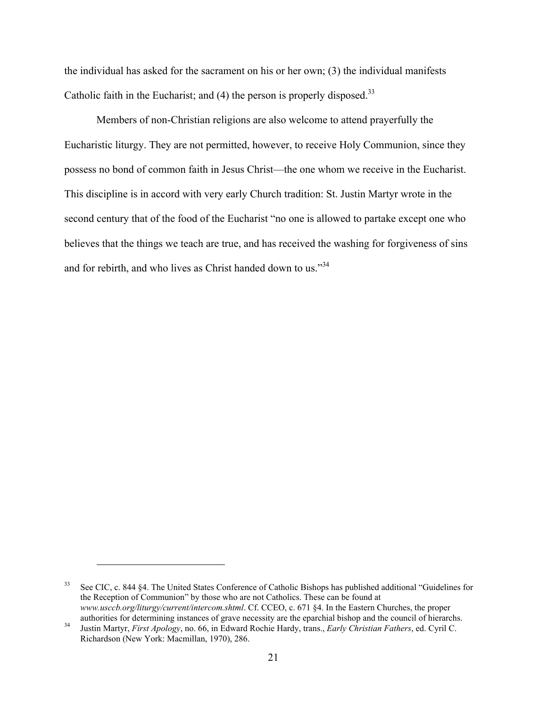the individual has asked for the sacrament on his or her own; (3) the individual manifests Catholic faith in the Eucharist; and  $(4)$  the person is properly disposed.<sup>33</sup>

Members of non-Christian religions are also welcome to attend prayerfully the Eucharistic liturgy. They are not permitted, however, to receive Holy Communion, since they possess no bond of common faith in Jesus Christ—the one whom we receive in the Eucharist. This discipline is in accord with very early Church tradition: St. Justin Martyr wrote in the second century that of the food of the Eucharist "no one is allowed to partake except one who believes that the things we teach are true, and has received the washing for forgiveness of sins and for rebirth, and who lives as Christ handed down to us."<sup>34</sup>

<sup>33</sup> See CIC, c. 844 §4. The United States Conference of Catholic Bishops has published additional "Guidelines for the Reception of Communion" by those who are not Catholics. These can be found at *www.usccb.org/liturgy/current/intercom.shtml.* Cf. CCEO, c. 671 §4. In the Eastern Churches, the proper authorities for determining instances of grave necessity are the eparchial bishop and the council of hierarchs.

<sup>&</sup>lt;sup>34</sup> Justin Martyr, *First Apology*, no. 66, in Edward Rochie Hardy, trans., *Early Christian Fathers*, ed. Cyril C. Richardson (New York: Macmillan, 1970), 286.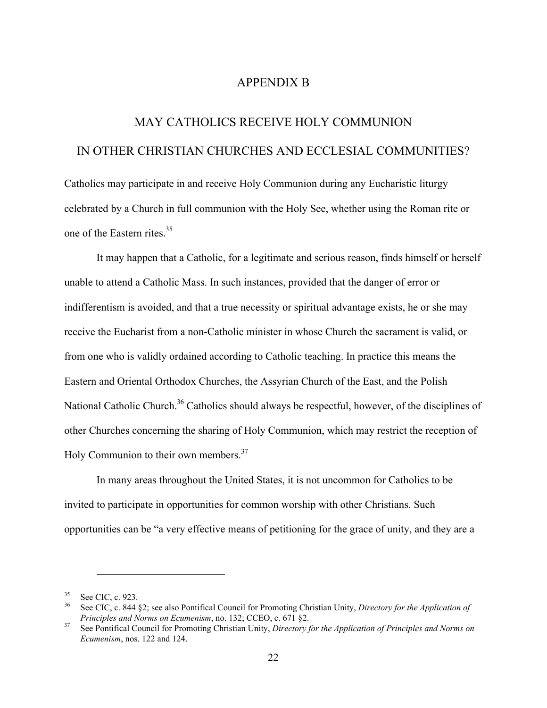## APPENDIX B

# MAY CATHOLICS RECEIVE HOLY COMMUNION IN OTHER CHRISTIAN CHURCHES AND ECCLESIAL COMMUNITIES?

Catholics may participate in and receive Holy Communion during any Eucharistic liturgy celebrated by a Church in full communion with the Holy See, whether using the Roman rite or one of the Eastern rites.<sup>35</sup>

It may happen that a Catholic, for a legitimate and serious reason, finds himself or herself unable to attend a Catholic Mass. In such instances, provided that the danger of error or indifferentism is avoided, and that a true necessity or spiritual advantage exists, he or she may receive the Eucharist from a non-Catholic minister in whose Church the sacrament is valid, or from one who is validly ordained according to Catholic teaching. In practice this means the Eastern and Oriental Orthodox Churches, the Assyrian Church of the East, and the Polish National Catholic Church.<sup>36</sup> Catholics should always be respectful, however, of the disciplines of other Churches concerning the sharing of Holy Communion, which may restrict the reception of Holy Communion to their own members.<sup>37</sup>

In many areas throughout the United States, it is not uncommon for Catholics to be invited to participate in opportunities for common worship with other Christians. Such opportunities can be "a very effective means of petitioning for the grace of unity, and they are a

<sup>&</sup>lt;sup>35</sup> See CIC, c. 923.<br><sup>36</sup> See CIC, c. 844 §2; see also Pontifical Council for Promoting Christian Unity, *Directory for the Application of Principles and Norms on Ecumenism*, no. 132; CCEO, c. 671 §2.<br><sup>37</sup> See Pontifical Council for Promoting Christian Unity, *Directory for the Application of Principles and Norms on* 

*Ecumenism*, nos. 122 and 124.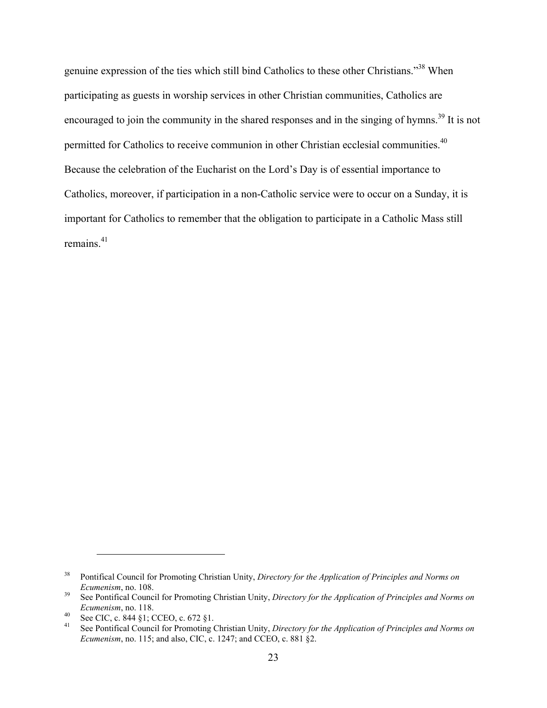genuine expression of the ties which still bind Catholics to these other Christians."<sup>38</sup> When participating as guests in worship services in other Christian communities, Catholics are encouraged to join the community in the shared responses and in the singing of hymns.<sup>39</sup> It is not permitted for Catholics to receive communion in other Christian ecclesial communities.<sup>40</sup> Because the celebration of the Eucharist on the Lord's Day is of essential importance to Catholics, moreover, if participation in a non-Catholic service were to occur on a Sunday, it is important for Catholics to remember that the obligation to participate in a Catholic Mass still remains $41$ 

<sup>38</sup> Pontifical Council for Promoting Christian Unity, *Directory for the Application of Principles and Norms on*

*Ecumenism*, no. 108.<br><sup>39</sup> See Pontifical Council for Promoting Christian Unity, *Directory for the Application of Principles and Norms on Ecumenism*, no. 118.<br>
<sup>40</sup> See CIC, c. 844 §1; CCEO, c. 672 §1.<br>
<sup>41</sup> See Pontifical Council for Promoting Christian Unity, *Directory for the Application of Principles and Norms on* 

*Ecumenism*, no. 115; and also, CIC, c. 1247; and CCEO, c. 881 §2.